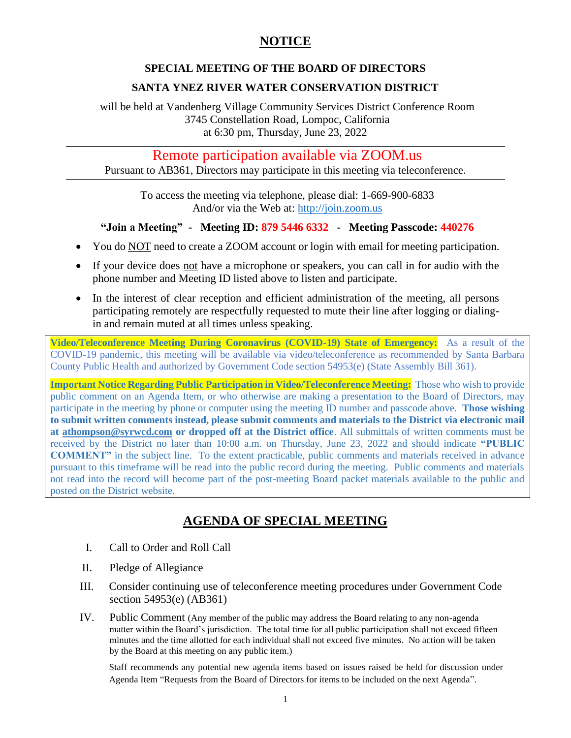## **NOTICE**

#### **SPECIAL MEETING OF THE BOARD OF DIRECTORS**

### **SANTA YNEZ RIVER WATER CONSERVATION DISTRICT**

will be held at Vandenberg Village Community Services District Conference Room 3745 Constellation Road, Lompoc, California at 6:30 pm, Thursday, June 23, 2022

Remote participation available via ZOOM.us

Pursuant to AB361, Directors may participate in this meeting via teleconference.

To access the meeting via telephone, please dial: 1-669-900-6833 And/or via the Web at: [http://join.zoom.us](http://join.zoom.us/)

#### **"Join a Meeting" - Meeting ID: 879 5446 6332 - Meeting Passcode: 440276**

- You do NOT need to create a ZOOM account or login with email for meeting participation.
- If your device does not have a microphone or speakers, you can call in for audio with the phone number and Meeting ID listed above to listen and participate.
- In the interest of clear reception and efficient administration of the meeting, all persons participating remotely are respectfully requested to mute their line after logging or dialingin and remain muted at all times unless speaking.

**Video/Teleconference Meeting During Coronavirus (COVID-19) State of Emergency:** As a result of the COVID-19 pandemic, this meeting will be available via video/teleconference as recommended by Santa Barbara County Public Health and authorized by Government Code section 54953(e) (State Assembly Bill 361).

**Important Notice Regarding Public Participation in Video/Teleconference Meeting:** Those who wish to provide public comment on an Agenda Item, or who otherwise are making a presentation to the Board of Directors, may participate in the meeting by phone or computer using the meeting ID number and passcode above. **Those wishing to submit written comments instead, please submit comments and materials to the District via electronic mail at [athompson@syrwcd.com](mailto:athompson@syrwcd.com) or dropped off at the District office**. All submittals of written comments must be received by the District no later than 10:00 a.m. on Thursday, June 23, 2022 and should indicate **"PUBLIC COMMENT"** in the subject line. To the extent practicable, public comments and materials received in advance pursuant to this timeframe will be read into the public record during the meeting. Public comments and materials not read into the record will become part of the post-meeting Board packet materials available to the public and posted on the District website.

# **AGENDA OF SPECIAL MEETING**

- I. Call to Order and Roll Call
- II. Pledge of Allegiance
- III. Consider continuing use of teleconference meeting procedures under Government Code section 54953(e) (AB361)
- IV. Public Comment (Any member of the public may address the Board relating to any non-agenda matter within the Board's jurisdiction. The total time for all public participation shall not exceed fifteen minutes and the time allotted for each individual shall not exceed five minutes. No action will be taken by the Board at this meeting on any public item.)

Staff recommends any potential new agenda items based on issues raised be held for discussion under Agenda Item "Requests from the Board of Directors for items to be included on the next Agenda".